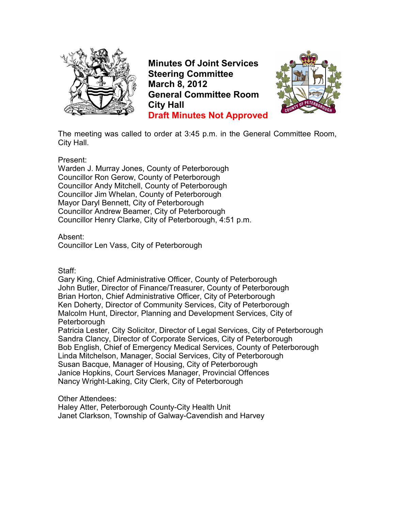

**Minutes Of Joint Services Steering Committee March 8, 2012 General Committee Room City Hall Draft Minutes Not Approved**



The meeting was called to order at 3:45 p.m. in the General Committee Room, City Hall.

Present:

Warden J. Murray Jones, County of Peterborough Councillor Ron Gerow, County of Peterborough Councillor Andy Mitchell, County of Peterborough Councillor Jim Whelan, County of Peterborough Mayor Daryl Bennett, City of Peterborough Councillor Andrew Beamer, City of Peterborough Councillor Henry Clarke, City of Peterborough, 4:51 p.m.

Absent:

Councillor Len Vass, City of Peterborough

Staff:

Gary King, Chief Administrative Officer, County of Peterborough John Butler, Director of Finance/Treasurer, County of Peterborough Brian Horton, Chief Administrative Officer, City of Peterborough Ken Doherty, Director of Community Services, City of Peterborough Malcolm Hunt, Director, Planning and Development Services, City of **Peterborough** 

Patricia Lester, City Solicitor, Director of Legal Services, City of Peterborough Sandra Clancy, Director of Corporate Services, City of Peterborough Bob English, Chief of Emergency Medical Services, County of Peterborough Linda Mitchelson, Manager, Social Services, City of Peterborough Susan Bacque, Manager of Housing, City of Peterborough Janice Hopkins, Court Services Manager, Provincial Offences Nancy Wright-Laking, City Clerk, City of Peterborough

Other Attendees:

Haley Atter, Peterborough County-City Health Unit Janet Clarkson, Township of Galway-Cavendish and Harvey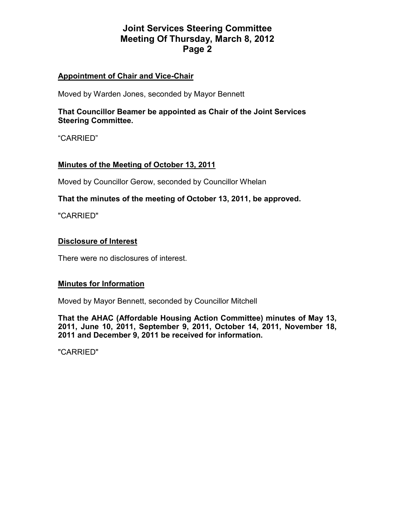## **Appointment of Chair and Vice-Chair**

Moved by Warden Jones, seconded by Mayor Bennett

**That Councillor Beamer be appointed as Chair of the Joint Services Steering Committee.** 

"CARRIED"

### **Minutes of the Meeting of October 13, 2011**

Moved by Councillor Gerow, seconded by Councillor Whelan

### **That the minutes of the meeting of October 13, 2011, be approved.**

"CARRIED"

### **Disclosure of Interest**

There were no disclosures of interest.

#### **Minutes for Information**

Moved by Mayor Bennett, seconded by Councillor Mitchell

**That the AHAC (Affordable Housing Action Committee) minutes of May 13, 2011, June 10, 2011, September 9, 2011, October 14, 2011, November 18, 2011 and December 9, 2011 be received for information.** 

"CARRIED"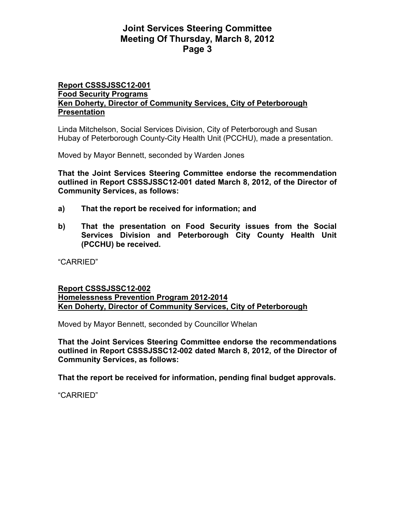### **Report CSSSJSSC12-001 Food Security Programs Ken Doherty, Director of Community Services, City of Peterborough Presentation**

Linda Mitchelson, Social Services Division, City of Peterborough and Susan Hubay of Peterborough County-City Health Unit (PCCHU), made a presentation.

Moved by Mayor Bennett, seconded by Warden Jones

**That the Joint Services Steering Committee endorse the recommendation outlined in Report CSSSJSSC12-001 dated March 8, 2012, of the Director of Community Services, as follows:** 

- **a) That the report be received for information; and**
- **b) That the presentation on Food Security issues from the Social Services Division and Peterborough City County Health Unit (PCCHU) be received.**

"CARRIED"

#### **Report CSSSJSSC12-002 Homelessness Prevention Program 2012-2014 Ken Doherty, Director of Community Services, City of Peterborough**

Moved by Mayor Bennett, seconded by Councillor Whelan

**That the Joint Services Steering Committee endorse the recommendations outlined in Report CSSSJSSC12-002 dated March 8, 2012, of the Director of Community Services, as follows:** 

**That the report be received for information, pending final budget approvals.** 

"CARRIED"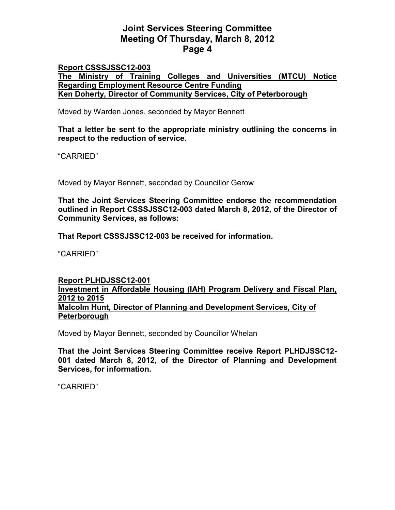### **Report CSSSJSSC12-003 The Ministry of Training Colleges and Universities (MTCU) Notice Regarding Employment Resource Centre Funding Ken Doherty, Director of Community Services, City of Peterborough**

Moved by Warden Jones, seconded by Mayor Bennett

**That a letter be sent to the appropriate ministry outlining the concerns in respect to the reduction of service.** 

"CARRIED"

Moved by Mayor Bennett, seconded by Councillor Gerow

**That the Joint Services Steering Committee endorse the recommendation outlined in Report CSSSJSSC12-003 dated March 8, 2012, of the Director of Community Services, as follows:** 

**That Report CSSSJSSC12-003 be received for information.** 

"CARRIED"

### **Report PLHDJSSC12-001 Investment in Affordable Housing (IAH) Program Delivery and Fiscal Plan, 2012 to 2015 Malcolm Hunt, Director of Planning and Development Services, City of Peterborough**

Moved by Mayor Bennett, seconded by Councillor Whelan

**That the Joint Services Steering Committee receive Report PLHDJSSC12- 001 dated March 8, 2012, of the Director of Planning and Development Services, for information.** 

"CARRIED"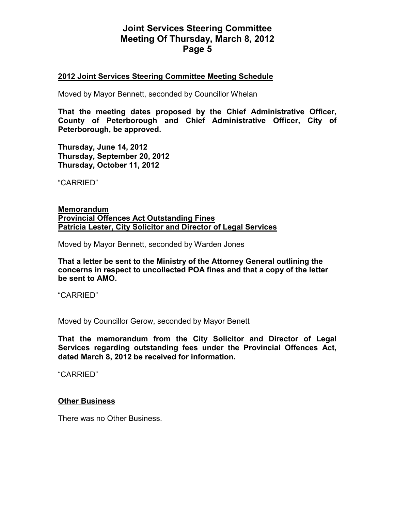### **2012 Joint Services Steering Committee Meeting Schedule**

Moved by Mayor Bennett, seconded by Councillor Whelan

**That the meeting dates proposed by the Chief Administrative Officer, County of Peterborough and Chief Administrative Officer, City of Peterborough, be approved.** 

**Thursday, June 14, 2012 Thursday, September 20, 2012 Thursday, October 11, 2012** 

"CARRIED"

**Memorandum Provincial Offences Act Outstanding Fines Patricia Lester, City Solicitor and Director of Legal Services**

Moved by Mayor Bennett, seconded by Warden Jones

**That a letter be sent to the Ministry of the Attorney General outlining the concerns in respect to uncollected POA fines and that a copy of the letter be sent to AMO.** 

"CARRIED"

Moved by Councillor Gerow, seconded by Mayor Benett

**That the memorandum from the City Solicitor and Director of Legal Services regarding outstanding fees under the Provincial Offences Act, dated March 8, 2012 be received for information.** 

"CARRIED"

#### **Other Business**

There was no Other Business.